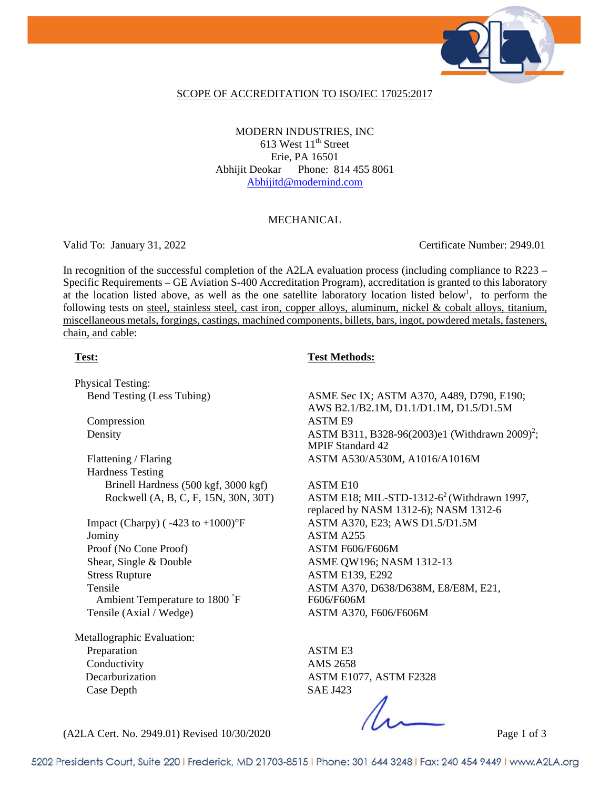

#### SCOPE OF ACCREDITATION TO ISO/IEC 17025:2017

MODERN INDUSTRIES, INC 613 West  $11<sup>th</sup>$  Street Erie, PA 16501 Abhijit Deokar Phone: 814 455 8061 Abhijitd@modernind.com

### MECHANICAL

Valid To: January 31, 2022 Certificate Number: 2949.01

In recognition of the successful completion of the A2LA evaluation process (including compliance to R223 – Specific Requirements – GE Aviation S-400 Accreditation Program), accreditation is granted to this laboratory at the location listed above, as well as the one satellite laboratory location listed below<sup>1</sup>, to perform the following tests on steel, stainless steel, cast iron, copper alloys, aluminum, nickel & cobalt alloys, titanium, miscellaneous metals, forgings, castings, machined components, billets, bars, ingot, powdered metals, fasteners, chain, and cable:

### **Test: Test Methods:**

Physical Testing:

Compression ASTM E9

Flattening / Flaring ASTM A530/A530M, A1016/A1016M Hardness Testing Brinell Hardness (500 kgf, 3000 kgf) ASTM E10

Jominy ASTM A255 Proof (No Cone Proof) ASTM F606/F606M Shear, Single & Double **ASME QW196**; NASM 1312-13 Stress Rupture ASTM E139, E292 Tensile Ambient Temperature to 1800 ° F Tensile (Axial / Wedge) <br>ASTM A370, F606/F606M

Metallographic Evaluation: Preparation ASTM E3 Conductivity AMS 2658 Case Depth SAE J423

Bend Testing (Less Tubing) ASME Sec IX; ASTM A370, A489, D790, E190; AWS B2.1/B2.1M, D1.1/D1.1M, D1.5/D1.5M Density ASTM B311, B328-96(2003)e1 (Withdrawn 2009)<sup>2</sup>; MPIF Standard 42

Rockwell (A, B, C, F, 15N, 30N, 30T) ASTM E18; MIL-STD-1312- $6^2$  (Withdrawn 1997, replaced by NASM 1312-6); NASM 1312-6 Impact (Charpy) ( -423 to +1000)°F ASTM A370, E23; AWS D1.5/D1.5M ASTM A370, D638/D638M, E8/E8M, E21, F606/F606M

Decarburization ASTM E1077, ASTM F2328

(A2LA Cert. No. 2949.01) Revised 10/30/2020 Page 1 of 3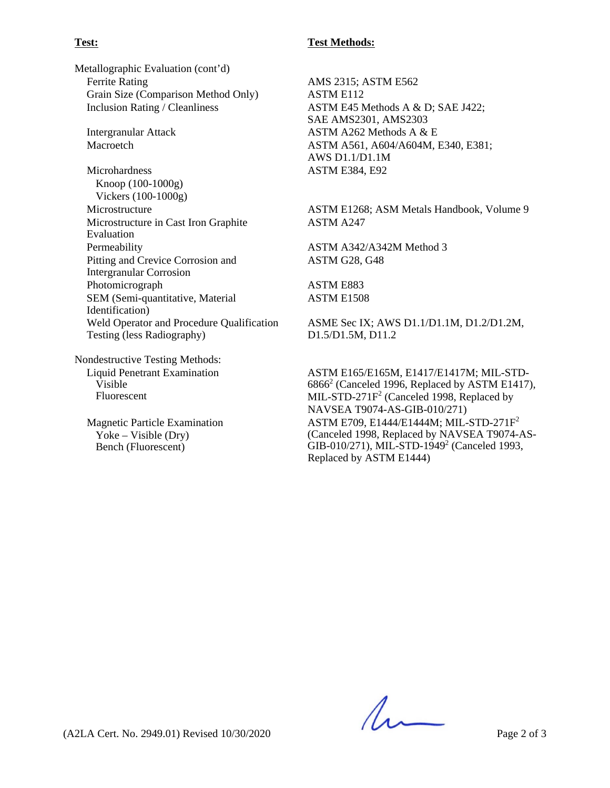## **Test: Test Methods:**

Metallographic Evaluation (cont'd) Ferrite Rating AMS 2315; ASTM E562 Grain Size (Comparison Method Only) ASTM E112

Microhardness ASTM E384, E92 Knoop (100-1000g) Vickers (100-1000g) Microstructure in Cast Iron Graphite Evaluation Permeability ASTM A342/A342M Method 3 Pitting and Crevice Corrosion and Intergranular Corrosion Photomicrograph ASTM E883 SEM (Semi-quantitative, Material Identification) Weld Operator and Procedure Qualification Testing (less Radiography)

Nondestructive Testing Methods: Liquid Penetrant Examination Visible Fluorescent

Magnetic Particle Examination Yoke – Visible (Dry) Bench (Fluorescent)

Inclusion Rating / Cleanliness ASTM E45 Methods A & D; SAE J422; SAE AMS2301, AMS2303 Intergranular Attack ASTM A262 Methods A & E Macroetch **ASTM A561, A604/A604M, E340, E381**; AWS D1.1/D1.1M

Microstructure ASTM E1268; ASM Metals Handbook, Volume 9 ASTM A247

ASTM G28, G48

ASTM E1508

ASME Sec IX; AWS D1.1/D1.1M, D1.2/D1.2M, D1.5/D1.5M, D11.2

ASTM E165/E165M, E1417/E1417M; MIL-STD- $6866<sup>2</sup>$  (Canceled 1996, Replaced by ASTM E1417), MIL-STD-271F<sup>2</sup> (Canceled 1998, Replaced by NAVSEA T9074-AS-GIB-010/271) ASTM E709, E1444/E1444M; MIL-STD-271F2 (Canceled 1998, Replaced by NAVSEA T9074-AS-GIB-010/271), MIL-STD-1949<sup>2</sup> (Canceled 1993, Replaced by ASTM E1444)

(A2LA Cert. No. 2949.01) Revised 10/30/2020 Page 2 of 3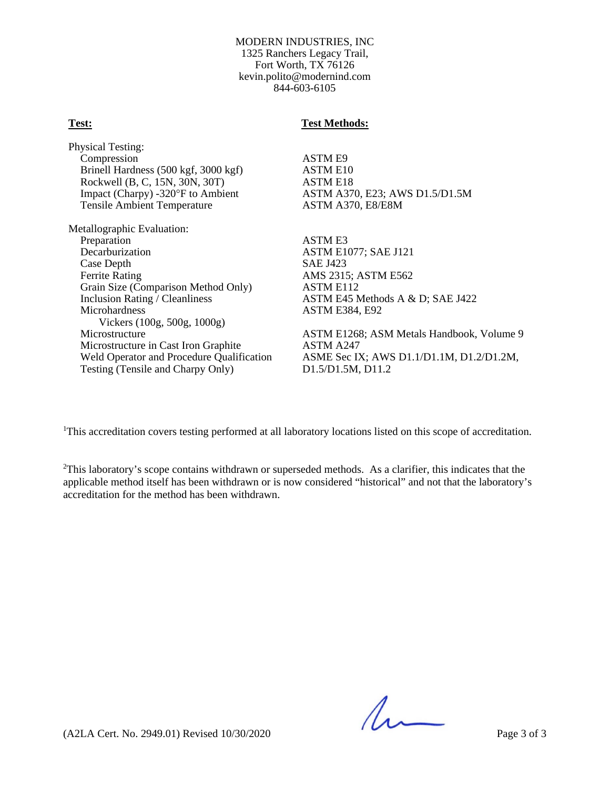#### MODERN INDUSTRIES, INC 1325 Ranchers Legacy Trail, Fort Worth, TX 76126 kevin.polito@modernind.com 844-603-6105

#### **Test: Test Methods:**

Physical Testing: Compression ASTM E9 Brinell Hardness (500 kgf, 3000 kgf) ASTM E10 Rockwell (B, C, 15N, 30N, 30T) <br>
Impact (Charpy) -320°F to Ambient ASTM A37 Tensile Ambient Temperature ASTM A370, E8/E8M

Metallographic Evaluation: Preparation ASTM E3 Decarburization ASTM E1077; SAE J121 Case Depth SAE J423 Ferrite Rating AMS 2315; ASTM E562 Grain Size (Comparison Method Only) ASTM E112<br>Inclusion Rating / Cleanliness ASTM E45 M Microhardness ASTM E384, E92 Vickers (100g, 500g, 1000g) Microstructure in Cast Iron Graphite Testing (Tensile and Charpy Only) D1.5/D1.5M, D11.2

ASTM A370, E23; AWS D1.5/D1.5M

ASTM E45 Methods A & D; SAE J422

Microstructure<br>Microstructure in Cast Iron Graphite<br>ASTM A247 Weld Operator and Procedure Qualification ASME Sec IX; AWS D1.1/D1.1M, D1.2/D1.2M,

<sup>1</sup>This accreditation covers testing performed at all laboratory locations listed on this scope of accreditation.

 $2$ This laboratory's scope contains withdrawn or superseded methods. As a clarifier, this indicates that the applicable method itself has been withdrawn or is now considered "historical" and not that the laboratory's accreditation for the method has been withdrawn.

 $\Lambda$ 

(A2LA Cert. No. 2949.01) Revised 10/30/2020 Page 3 of 3